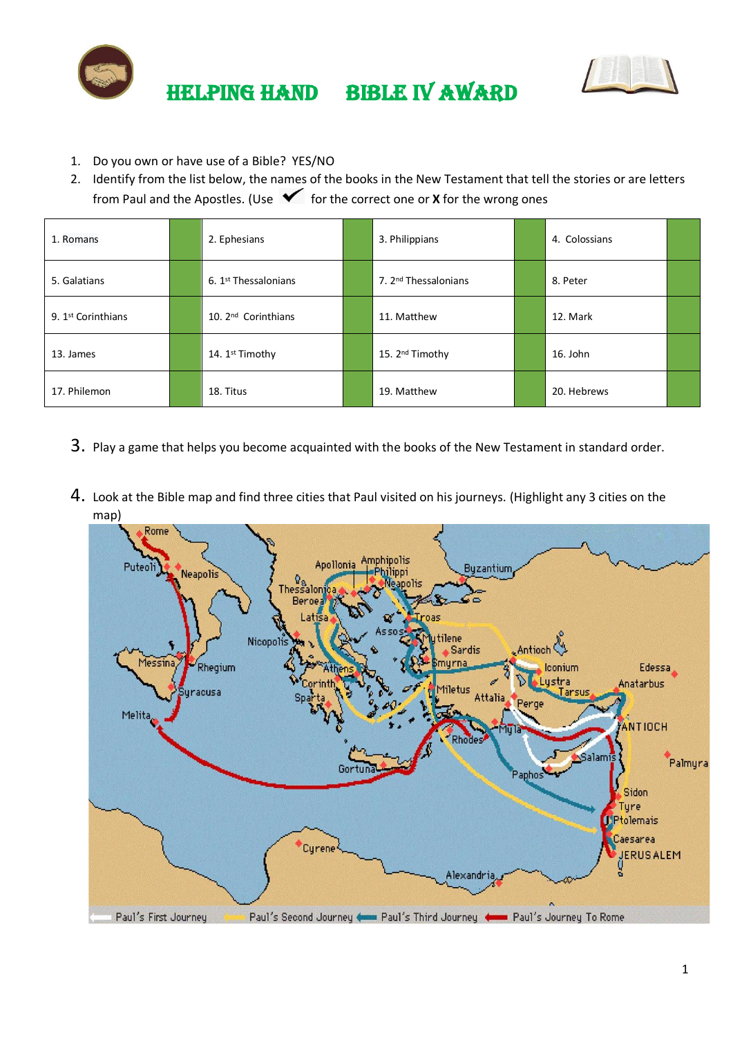



- 1. Do you own or have use of a Bible? YES/NO
- 2. Identify from the list below, the names of the books in the New Testament that tell the stories or are letters from Paul and the Apostles. (Use  $\checkmark$  for the correct one or **X** for the wrong ones

| 1. Romans                      | 2. Ephesians                     | 3. Philippians                   | 4. Colossians |  |
|--------------------------------|----------------------------------|----------------------------------|---------------|--|
| 5. Galatians                   | 6. 1 <sup>st</sup> Thessalonians | 7. 2 <sup>nd</sup> Thessalonians | 8. Peter      |  |
| 9. 1 <sup>st</sup> Corinthians | 10. 2 <sup>nd</sup> Corinthians  | 11. Matthew                      | 12. Mark      |  |
| 13. James                      | 14. 1st Timothy                  | 15. 2 <sup>nd</sup> Timothy      | 16. John      |  |
| 17. Philemon                   | 18. Titus                        | 19. Matthew                      | 20. Hebrews   |  |

- 3. Play a game that helps you become acquainted with the books of the New Testament in standard order.
- 4. Look at the Bible map and find three cities that Paul visited on his journeys. (Highlight any 3 cities on the map)

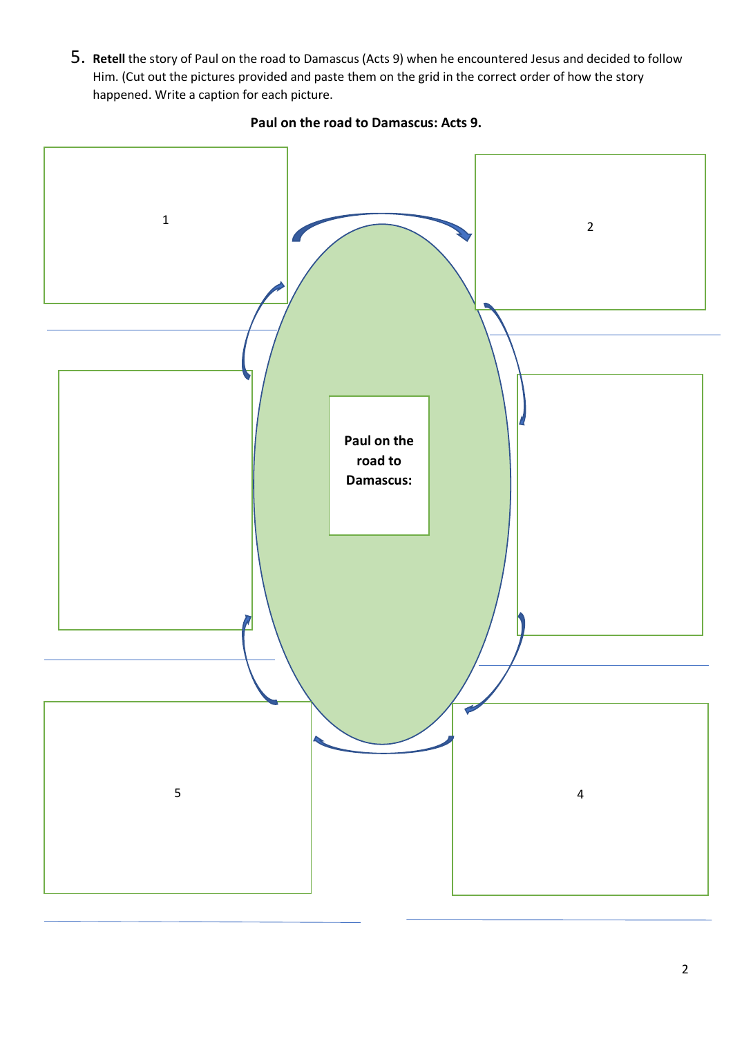5. **Retell** the story of Paul on the road to Damascus (Acts 9) when he encountered Jesus and decided to follow Him. (Cut out the pictures provided and paste them on the grid in the correct order of how the story happened. Write a caption for each picture.



## **Paul on the road to Damascus: Acts 9.**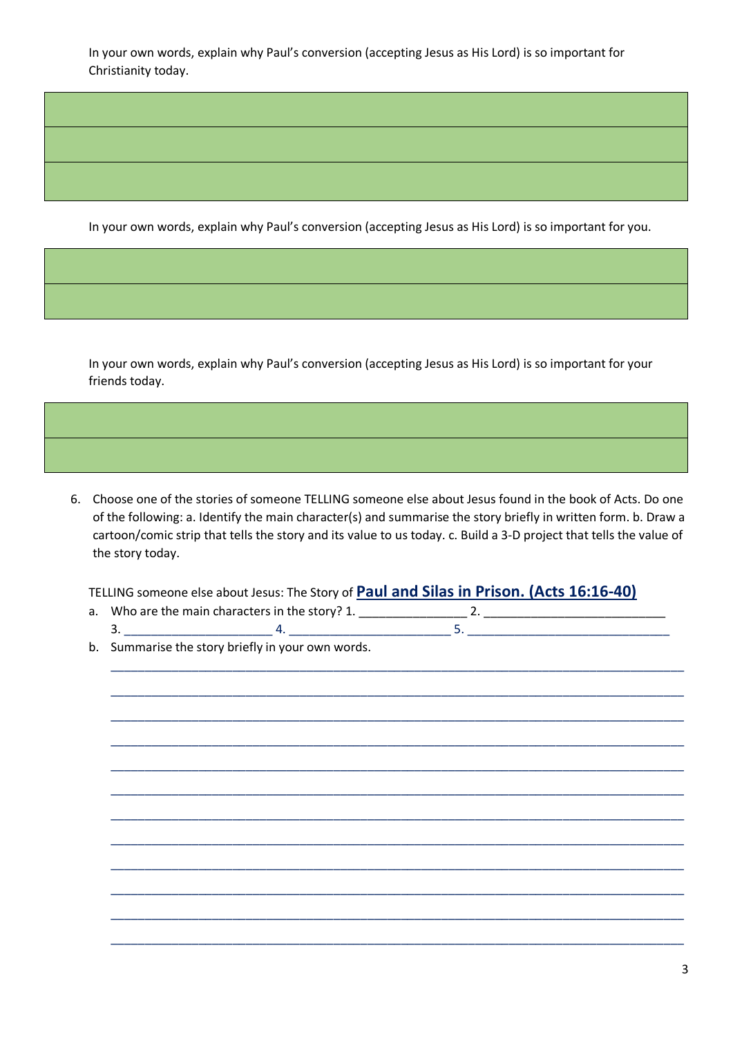In your own words, explain why Paul's conversion (accepting Jesus as His Lord) is so important for Christianity today.

In your own words, explain why Paul's conversion (accepting Jesus as His Lord) is so important for you.

In your own words, explain why Paul's conversion (accepting Jesus as His Lord) is so important for your friends today.

6. Choose one of the stories of someone TELLING someone else about Jesus found in the book of Acts. Do one of the following: a. Identify the main character(s) and summarise the story briefly in written form. b. Draw a cartoon/comic strip that tells the story and its value to us today. c. Build a 3-D project that tells the value of the story today.

TELLING someone else about Jesus: The Story of **Paul and Silas in Prison. (Acts 16:16-40)**

| a. Who are the main characters in the story? |  |
|----------------------------------------------|--|
|                                              |  |

b. Summarise the story briefly in your own words.

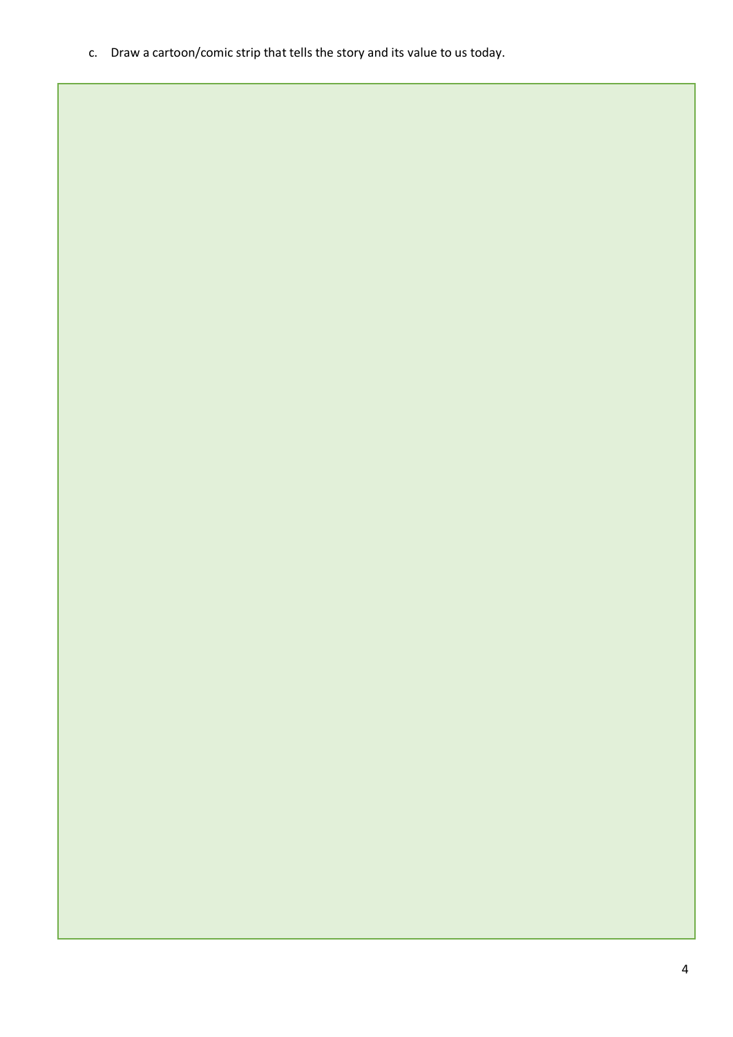c. Draw a cartoon/comic strip that tells the story and its value to us today.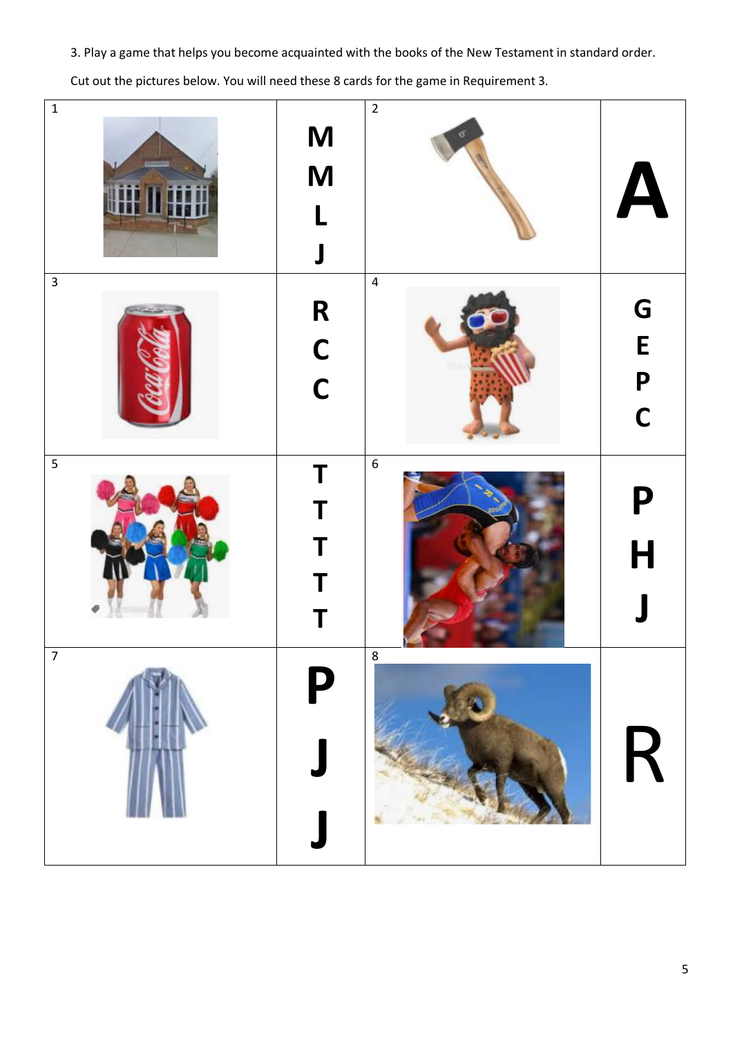3. Play a game that helps you become acquainted with the books of the New Testament in standard order.

Cut out the pictures below. You will need these 8 cards for the game in Requirement 3.

| $\mathbf 1$    | M<br>M<br>L<br>$\mathbf{\mathsf{J}}$ | $\overline{2}$   | $\blacktriangle$                                         |
|----------------|--------------------------------------|------------------|----------------------------------------------------------|
| $\overline{3}$ | R<br>C<br>C                          | $\overline{4}$   | G<br>$\mathsf E$<br>$\mathsf{P}$<br>$\mathsf{C}$         |
| $\overline{5}$ | T<br>T<br>T<br>T                     | $\boldsymbol{6}$ | P<br>$\overline{\mathsf{H}}$<br>$\overline{\phantom{a}}$ |
| $\overline{7}$ | P                                    | 8                | R                                                        |